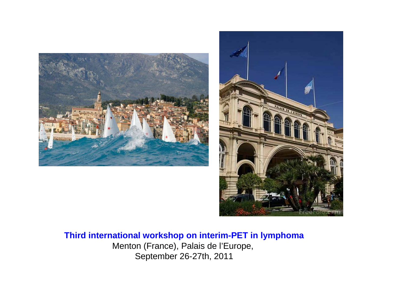



## **Third international workshop on interim-PET in lymphoma**Menton (France), Palais de l'Europe,

September 26-27th, 2011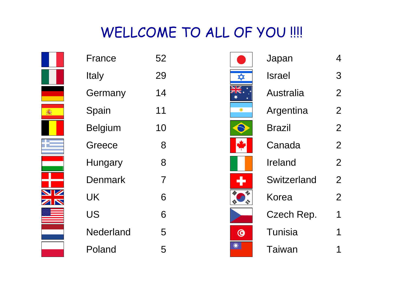## WELLCOME TO ALL OF YOU !!!!



| France    | 52             |
|-----------|----------------|
| Italy     | 29             |
| Germany   | 14             |
| Spain     | 11             |
| Belgium   | 10             |
| Greece    | 8              |
| Hungary   | 8              |
| Denmark   | $\overline{7}$ |
| UK        | 6              |
| US        | 6              |
| Nederland | 5              |
| Poland    | 5              |

|   | Japan            | 4              |
|---|------------------|----------------|
| ✿ | Israel           | З              |
|   | <b>Australia</b> | $\overline{2}$ |
|   | Argentina        | 2              |
|   | Brazil           | $\overline{2}$ |
|   | Canada           | $\overline{2}$ |
|   | Ireland          | $\overline{2}$ |
|   | Switzerland      | $\overline{2}$ |
| 办 | Korea            | $\overline{2}$ |
|   | Czech Rep.       | 1              |
|   | <b>Tunisia</b>   |                |
|   | Taiwan           |                |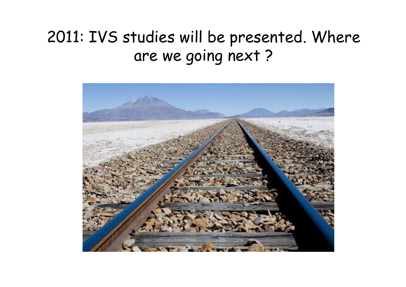## 2011: IVS studies will be presented. Where are we going next ?

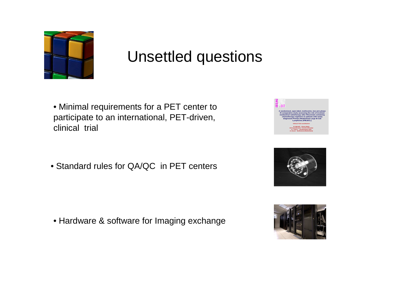

## Unsettled questions

- Minimal requirements for a PET center to participate to an international, PET-driven, clinical trial
- Standard rules for QA/QC in PET centers

• Hardware & software for Imaging exchange





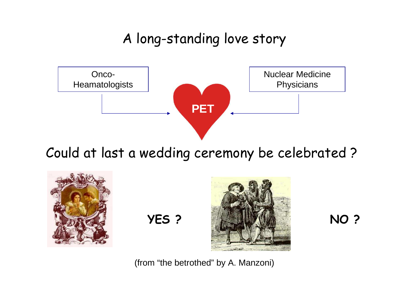A long-standing love story



Could at last a wedding ceremony be celebrated ?





(from "the betrothed" by A. Manzoni)